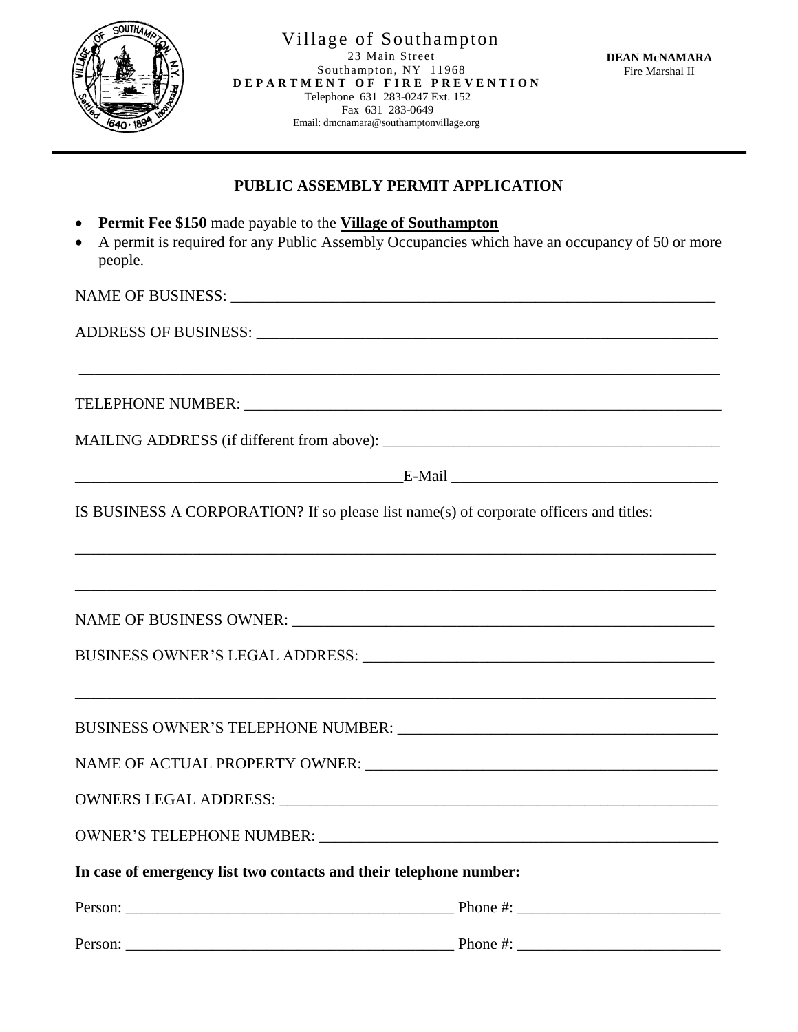

j

## **PUBLIC ASSEMBLY PERMIT APPLICATION**

- **Permit Fee \$150** made payable to the **Village of Southampton**
- A permit is required for any Public Assembly Occupancies which have an occupancy of 50 or more people.

\_\_\_\_\_\_\_\_\_\_\_\_\_\_\_\_\_\_\_\_\_\_\_\_\_\_\_\_\_\_\_\_\_\_\_\_\_\_\_\_\_\_\_\_\_\_\_\_\_\_\_\_\_\_\_\_\_\_\_\_\_\_\_\_\_\_\_\_\_\_\_\_\_\_\_\_\_\_\_\_\_\_

NAME OF BUSINESS: \_\_\_\_\_\_\_\_\_\_\_\_\_\_\_\_\_\_\_\_\_\_\_\_\_\_\_\_\_\_\_\_\_\_\_\_\_\_\_\_\_\_\_\_\_\_\_\_\_\_\_\_\_\_\_\_\_\_\_\_\_\_

ADDRESS OF BUSINESS:

TELEPHONE NUMBER:

MAILING ADDRESS (if different from above): \_\_\_\_\_\_\_\_\_\_\_\_\_\_\_\_\_\_\_\_\_\_\_\_\_\_\_\_\_\_\_\_\_\_\_\_\_\_\_\_\_\_\_

| _______ | ____<br>---- |
|---------|--------------|
|         |              |

IS BUSINESS A CORPORATION? If so please list name(s) of corporate officers and titles:

\_\_\_\_\_\_\_\_\_\_\_\_\_\_\_\_\_\_\_\_\_\_\_\_\_\_\_\_\_\_\_\_\_\_\_\_\_\_\_\_\_\_\_\_\_\_\_\_\_\_\_\_\_\_\_\_\_\_\_\_\_\_\_\_\_\_\_\_\_\_\_\_\_\_\_\_\_\_\_\_\_\_

\_\_\_\_\_\_\_\_\_\_\_\_\_\_\_\_\_\_\_\_\_\_\_\_\_\_\_\_\_\_\_\_\_\_\_\_\_\_\_\_\_\_\_\_\_\_\_\_\_\_\_\_\_\_\_\_\_\_\_\_\_\_\_\_\_\_\_\_\_\_\_\_\_\_\_\_\_\_\_\_\_\_

\_\_\_\_\_\_\_\_\_\_\_\_\_\_\_\_\_\_\_\_\_\_\_\_\_\_\_\_\_\_\_\_\_\_\_\_\_\_\_\_\_\_\_\_\_\_\_\_\_\_\_\_\_\_\_\_\_\_\_\_\_\_\_\_\_\_\_\_\_\_\_\_\_\_\_\_\_\_\_\_\_\_

NAME OF BUSINESS OWNER: \_\_\_\_\_\_\_\_\_\_\_\_\_\_\_\_\_\_\_\_\_\_\_\_\_\_\_\_\_\_\_\_\_\_\_\_\_\_\_\_\_\_\_\_\_\_\_\_\_\_\_\_\_\_

BUSINESS OWNER'S LEGAL ADDRESS: \_\_\_\_\_\_\_\_\_\_\_\_\_\_\_\_\_\_\_\_\_\_\_\_\_\_\_\_\_\_\_\_\_\_\_\_\_\_\_\_\_\_\_\_\_

BUSINESS OWNER'S TELEPHONE NUMBER:

NAME OF ACTUAL PROPERTY OWNER: \_\_\_\_\_\_\_\_\_\_\_\_\_\_\_\_\_\_\_\_\_\_\_\_\_\_\_\_\_\_\_\_\_\_\_\_\_\_\_\_\_\_\_\_\_

OWNERS LEGAL ADDRESS: \_\_\_\_\_\_\_\_\_\_\_\_\_\_\_\_\_\_\_\_\_\_\_\_\_\_\_\_\_\_\_\_\_\_\_\_\_\_\_\_\_\_\_\_\_\_\_\_\_\_\_\_\_\_\_\_

OWNER'S TELEPHONE NUMBER: \_\_\_\_\_\_\_\_\_\_\_\_\_\_\_\_\_\_\_\_\_\_\_\_\_\_\_\_\_\_\_\_\_\_\_\_\_\_\_\_\_\_\_\_\_\_\_\_\_\_\_

**In case of emergency list two contacts and their telephone number:** 

| Person: | Phone #: |
|---------|----------|
|         |          |
| Person: | Phone #: |